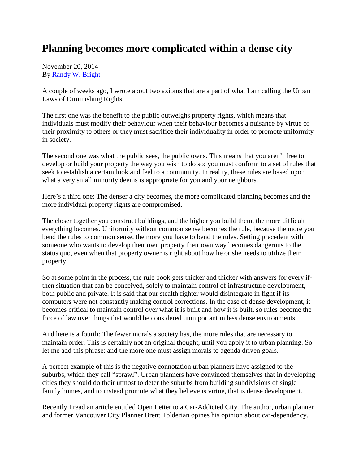## **Planning becomes more complicated within a dense city**

November 20, 2014 By [Randy W. Bright](http://www.tulsabeacon.com/author/slug-o6yd1v)

A couple of weeks ago, I wrote about two axioms that are a part of what I am calling the Urban Laws of Diminishing Rights.

The first one was the benefit to the public outweighs property rights, which means that individuals must modify their behaviour when their behaviour becomes a nuisance by virtue of their proximity to others or they must sacrifice their individuality in order to promote uniformity in society.

The second one was what the public sees, the public owns. This means that you aren't free to develop or build your property the way you wish to do so; you must conform to a set of rules that seek to establish a certain look and feel to a community. In reality, these rules are based upon what a very small minority deems is appropriate for you and your neighbors.

Here's a third one: The denser a city becomes, the more complicated planning becomes and the more individual property rights are compromised.

The closer together you construct buildings, and the higher you build them, the more difficult everything becomes. Uniformity without common sense becomes the rule, because the more you bend the rules to common sense, the more you have to bend the rules. Setting precedent with someone who wants to develop their own property their own way becomes dangerous to the status quo, even when that property owner is right about how he or she needs to utilize their property.

So at some point in the process, the rule book gets thicker and thicker with answers for every ifthen situation that can be conceived, solely to maintain control of infrastructure development, both public and private. It is said that our stealth fighter would disintegrate in fight if its computers were not constantly making control corrections. In the case of dense development, it becomes critical to maintain control over what it is built and how it is built, so rules become the force of law over things that would be considered unimportant in less dense environments.

And here is a fourth: The fewer morals a society has, the more rules that are necessary to maintain order. This is certainly not an original thought, until you apply it to urban planning. So let me add this phrase: and the more one must assign morals to agenda driven goals.

A perfect example of this is the negative connotation urban planners have assigned to the suburbs, which they call "sprawl". Urban planners have convinced themselves that in developing cities they should do their utmost to deter the suburbs from building subdivisions of single family homes, and to instead promote what they believe is virtue, that is dense development.

Recently I read an article entitled Open Letter to a Car-Addicted City. The author, urban planner and former Vancouver City Planner Brent Tolderian opines his opinion about car-dependency.